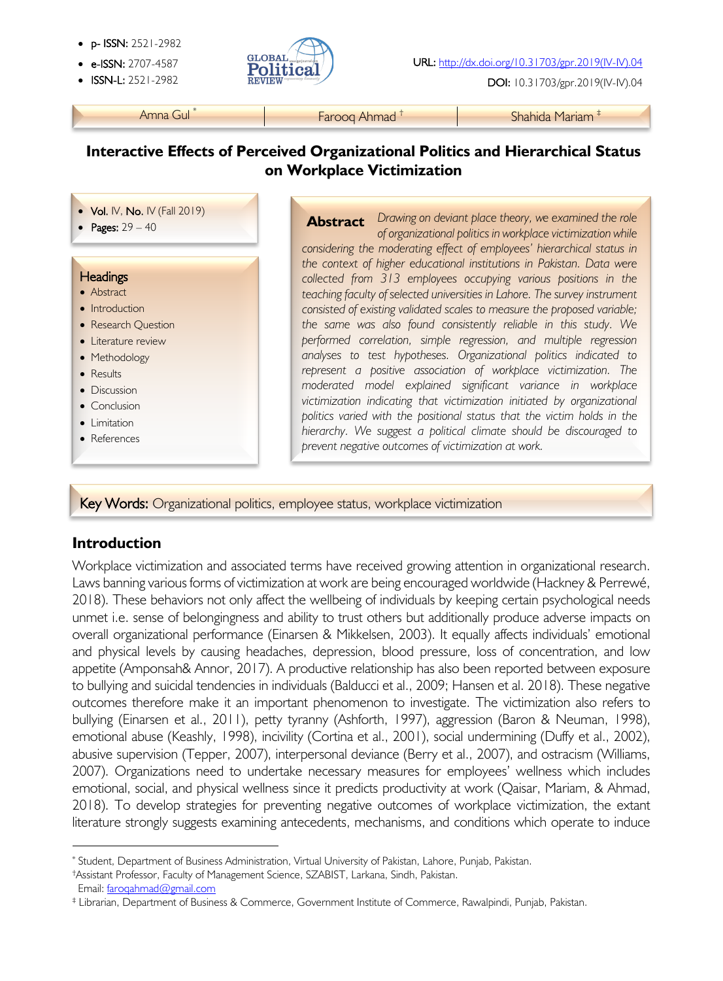- p- ISSN: 2521-2982
- 
- 



**ISSN-L:** 2521-2982 **REVIEW ALLERGY CONSUMING THE USING CONSUMING DOI:** 10.31703/gpr.2019(IV-IV).04

Amna Gul<sup>\*</sup> Farooq Ahmad <sup>†</sup> Farooq **Ahmad Farooq Ahmad †** Shahida Mariam <sup>‡</sup>

## **Interactive Effects of Perceived Organizational Politics and Hierarchical Status on Workplace Victimization**

- Vol. IV, No. IV (Fall 2019)
- Pages: 29 40

#### **Headings**

į

- Abstract
- Introduction
- Research Question
- Literature review
- Methodology
- Results
- Discussion
- Conclusion
- Limitation

l

• References

**Abstract** Drawing on deviant place theory, we examined the role *of organizational politics in workplace victimization while considering the moderating effect of employees' hierarchical status in the context of higher educational institutions in Pakistan. Data were collected from 313 employees occupying various positions in the teaching faculty of selected universities in Lahore. The survey instrument consisted of existing validated scales to measure the proposed variable; the same was also found consistently reliable in this study. We performed correlation, simple regression, and multiple regression analyses to test hypotheses. Organizational politics indicated to represent a positive association of workplace victimization. The moderated model explained significant variance in workplace victimization indicating that victimization initiated by organizational politics varied with the positional status that the victim holds in the hierarchy. We suggest a political climate should be discouraged to prevent negative outcomes of victimization at work.*

ì

Key Words: Organizational politics, employee status, workplace victimization

### **Introduction**

Workplace victimization and associated terms have received growing attention in organizational research. Laws banning various forms of victimization at work are being encouraged worldwide (Hackney & Perrewé, 2018). These behaviors not only affect the wellbeing of individuals by keeping certain psychological needs unmet i.e. sense of belongingness and ability to trust others but additionally produce adverse impacts on overall organizational performance (Einarsen & Mikkelsen, 2003). It equally affects individuals' emotional and physical levels by causing headaches, depression, blood pressure, loss of concentration, and low appetite (Amponsah& Annor, 2017). A productive relationship has also been reported between exposure to bullying and suicidal tendencies in individuals (Balducci et al., 2009; Hansen et al. 2018). These negative outcomes therefore make it an important phenomenon to investigate. The victimization also refers to bullying (Einarsen et al., 2011), petty tyranny (Ashforth, 1997), aggression (Baron & Neuman, 1998), emotional abuse (Keashly, 1998), incivility (Cortina et al., 2001), social undermining (Duffy et al., 2002), abusive supervision (Tepper, 2007), interpersonal deviance (Berry et al., 2007), and ostracism (Williams, 2007). Organizations need to undertake necessary measures for employees' wellness which includes emotional, social, and physical wellness since it predicts productivity at work (Qaisar, Mariam, & Ahmad, 2018). To develop strategies for preventing negative outcomes of workplace victimization, the extant literature strongly suggests examining antecedents, mechanisms, and conditions which operate to induce

†Assistant Professor, Faculty of Management Science, SZABIST, Larkana, Sindh, Pakistan. Email: faroqahmad@gmail.com

<sup>\*</sup> Student, Department of Business Administration, Virtual University of Pakistan, Lahore, Punjab, Pakistan.

<sup>‡</sup> Librarian, Department of Business & Commerce, Government Institute of Commerce, Rawalpindi, Punjab, Pakistan.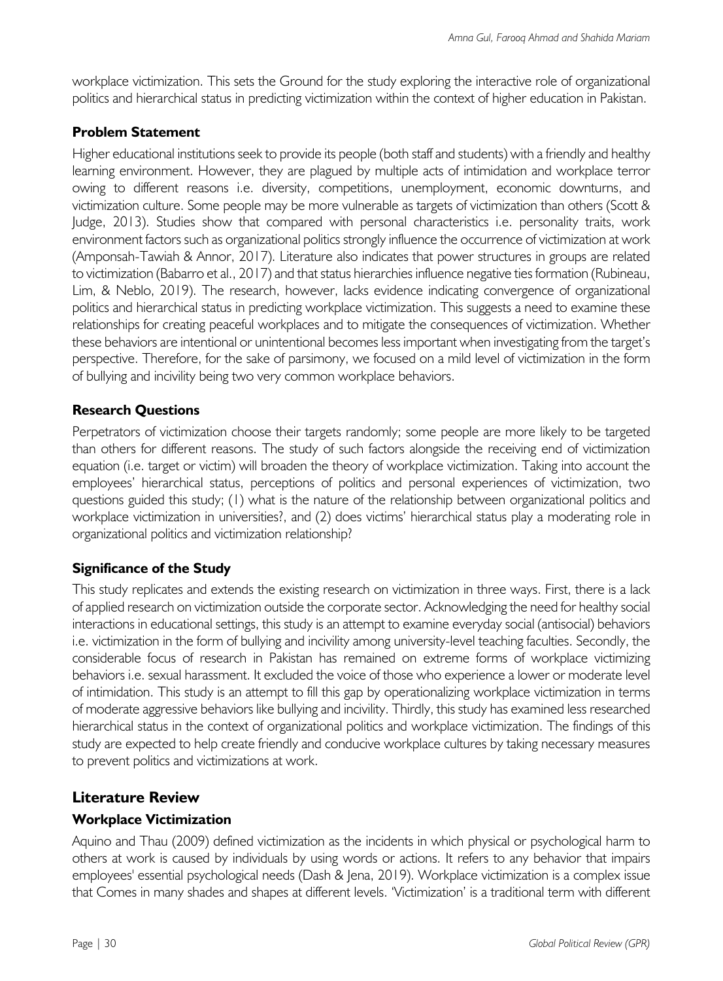workplace victimization. This sets the Ground for the study exploring the interactive role of organizational politics and hierarchical status in predicting victimization within the context of higher education in Pakistan.

### **Problem Statement**

Higher educational institutions seek to provide its people (both staff and students) with a friendly and healthy learning environment. However, they are plagued by multiple acts of intimidation and workplace terror owing to different reasons i.e. diversity, competitions, unemployment, economic downturns, and victimization culture. Some people may be more vulnerable as targets of victimization than others (Scott & Judge, 2013). Studies show that compared with personal characteristics i.e. personality traits, work environment factors such as organizational politics strongly influence the occurrence of victimization at work (Amponsah-Tawiah & Annor, 2017). Literature also indicates that power structures in groups are related to victimization (Babarro et al., 2017) and that status hierarchies influence negative ties formation (Rubineau, Lim, & Neblo, 2019). The research, however, lacks evidence indicating convergence of organizational politics and hierarchical status in predicting workplace victimization. This suggests a need to examine these relationships for creating peaceful workplaces and to mitigate the consequences of victimization. Whether these behaviors are intentional or unintentional becomes less important when investigating from the target's perspective. Therefore, for the sake of parsimony, we focused on a mild level of victimization in the form of bullying and incivility being two very common workplace behaviors.

### **Research Questions**

Perpetrators of victimization choose their targets randomly; some people are more likely to be targeted than others for different reasons. The study of such factors alongside the receiving end of victimization equation (i.e. target or victim) will broaden the theory of workplace victimization. Taking into account the employees' hierarchical status, perceptions of politics and personal experiences of victimization, two questions guided this study; (1) what is the nature of the relationship between organizational politics and workplace victimization in universities?, and (2) does victims' hierarchical status play a moderating role in organizational politics and victimization relationship?

### **Significance of the Study**

This study replicates and extends the existing research on victimization in three ways. First, there is a lack of applied research on victimization outside the corporate sector. Acknowledging the need for healthy social interactions in educational settings, this study is an attempt to examine everyday social (antisocial) behaviors i.e. victimization in the form of bullying and incivility among university-level teaching faculties. Secondly, the considerable focus of research in Pakistan has remained on extreme forms of workplace victimizing behaviors i.e. sexual harassment. It excluded the voice of those who experience a lower or moderate level of intimidation. This study is an attempt to fill this gap by operationalizing workplace victimization in terms of moderate aggressive behaviors like bullying and incivility. Thirdly, this study has examined less researched hierarchical status in the context of organizational politics and workplace victimization. The findings of this study are expected to help create friendly and conducive workplace cultures by taking necessary measures to prevent politics and victimizations at work.

## **Literature Review**

### **Workplace Victimization**

Aquino and Thau (2009) defined victimization as the incidents in which physical or psychological harm to others at work is caused by individuals by using words or actions. It refers to any behavior that impairs employees' essential psychological needs (Dash & Jena, 2019). Workplace victimization is a complex issue that Comes in many shades and shapes at different levels. 'Victimization' is a traditional term with different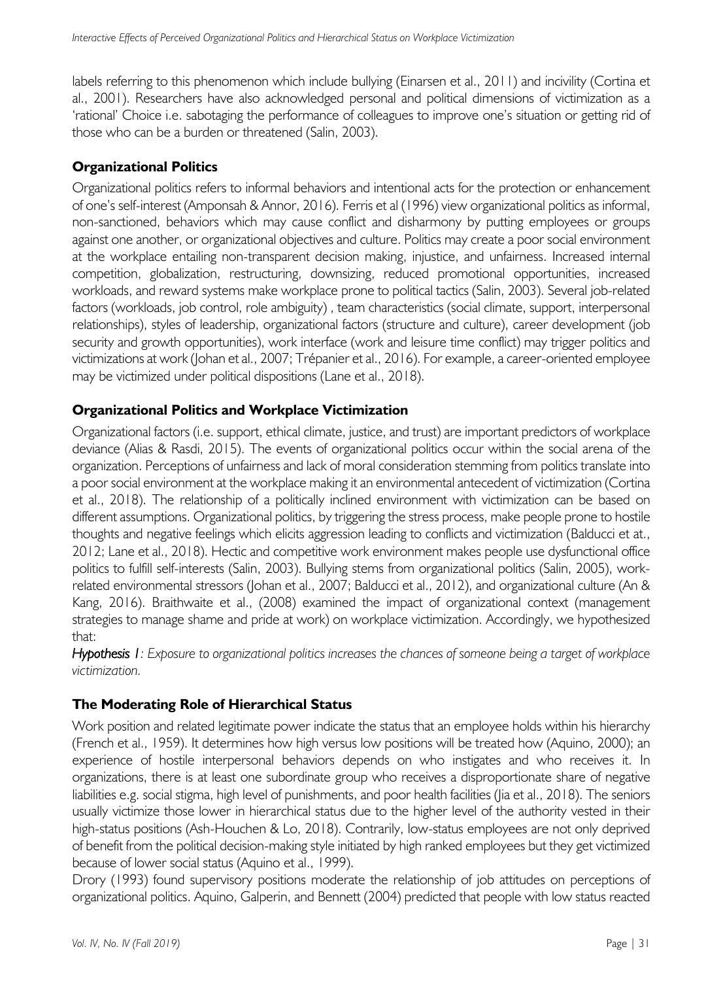labels referring to this phenomenon which include bullying (Einarsen et al., 2011) and incivility (Cortina et al., 2001). Researchers have also acknowledged personal and political dimensions of victimization as a 'rational' Choice i.e. sabotaging the performance of colleagues to improve one's situation or getting rid of those who can be a burden or threatened (Salin, 2003).

#### **Organizational Politics**

Organizational politics refers to informal behaviors and intentional acts for the protection or enhancement of one's self-interest (Amponsah & Annor, 2016). Ferris et al (1996) view organizational politics as informal, non-sanctioned, behaviors which may cause conflict and disharmony by putting employees or groups against one another, or organizational objectives and culture. Politics may create a poor social environment at the workplace entailing non-transparent decision making, injustice, and unfairness. Increased internal competition, globalization, restructuring, downsizing, reduced promotional opportunities, increased workloads, and reward systems make workplace prone to political tactics (Salin, 2003). Several job-related factors (workloads, job control, role ambiguity) , team characteristics (social climate, support, interpersonal relationships), styles of leadership, organizational factors (structure and culture), career development (job security and growth opportunities), work interface (work and leisure time conflict) may trigger politics and victimizations at work (Johan et al., 2007; Trépanier et al., 2016). For example, a career-oriented employee may be victimized under political dispositions (Lane et al., 2018).

#### **Organizational Politics and Workplace Victimization**

Organizational factors (i.e. support, ethical climate, justice, and trust) are important predictors of workplace deviance (Alias & Rasdi, 2015). The events of organizational politics occur within the social arena of the organization. Perceptions of unfairness and lack of moral consideration stemming from politics translate into a poor social environment at the workplace making it an environmental antecedent of victimization (Cortina et al., 2018). The relationship of a politically inclined environment with victimization can be based on different assumptions. Organizational politics, by triggering the stress process, make people prone to hostile thoughts and negative feelings which elicits aggression leading to conflicts and victimization (Balducci et at., 2012; Lane et al., 2018). Hectic and competitive work environment makes people use dysfunctional office politics to fulfill self-interests (Salin, 2003). Bullying stems from organizational politics (Salin, 2005), workrelated environmental stressors (Johan et al., 2007; Balducci et al., 2012), and organizational culture (An & Kang, 2016). Braithwaite et al., (2008) examined the impact of organizational context (management strategies to manage shame and pride at work) on workplace victimization. Accordingly, we hypothesized that:

*Hypothesis 1: Exposure to organizational politics increases the chances of someone being a target of workplace victimization.*

#### **The Moderating Role of Hierarchical Status**

Work position and related legitimate power indicate the status that an employee holds within his hierarchy (French et al., 1959). It determines how high versus low positions will be treated how (Aquino, 2000); an experience of hostile interpersonal behaviors depends on who instigates and who receives it. In organizations, there is at least one subordinate group who receives a disproportionate share of negative liabilities e.g. social stigma, high level of punishments, and poor health facilities (Jia et al., 2018). The seniors usually victimize those lower in hierarchical status due to the higher level of the authority vested in their high-status positions (Ash-Houchen & Lo, 2018). Contrarily, low-status employees are not only deprived of benefit from the political decision-making style initiated by high ranked employees but they get victimized because of lower social status (Aquino et al., 1999).

Drory (1993) found supervisory positions moderate the relationship of job attitudes on perceptions of organizational politics. Aquino, Galperin, and Bennett (2004) predicted that people with low status reacted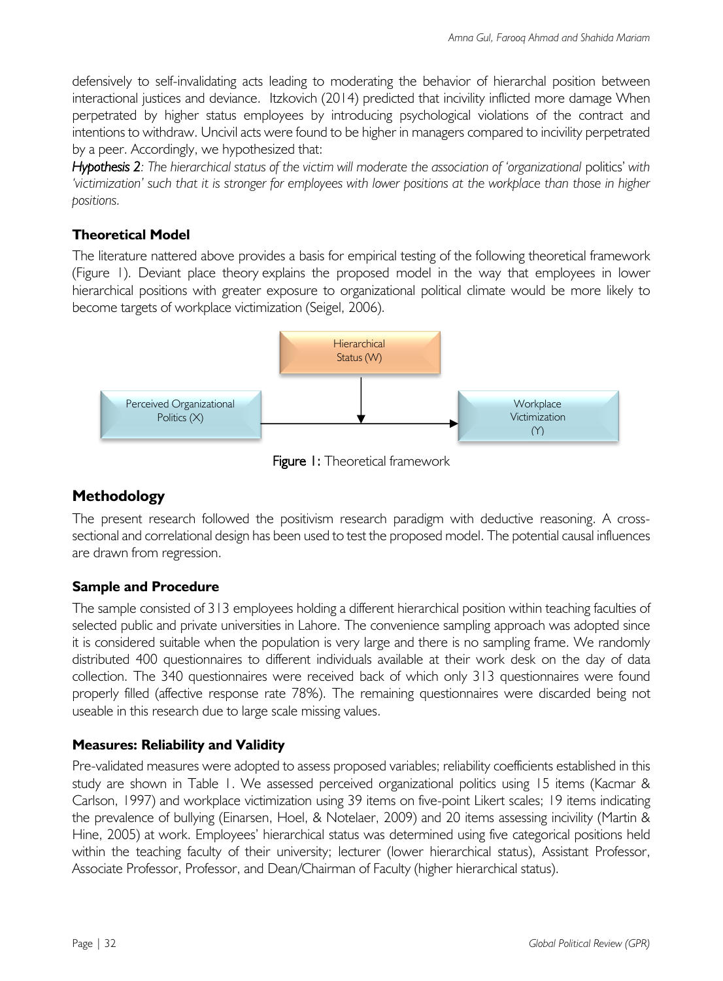defensively to self-invalidating acts leading to moderating the behavior of hierarchal position between interactional justices and deviance. Itzkovich (2014) predicted that incivility inflicted more damage When perpetrated by higher status employees by introducing psychological violations of the contract and intentions to withdraw. Uncivil acts were found to be higher in managers compared to incivility perpetrated by a peer. Accordingly, we hypothesized that:

*Hypothesis 2: The hierarchical status of the victim will moderate the association of 'organizational* politics' *with 'victimization' such that it is stronger for employees with lower positions at the workplace than those in higher positions.*

### **Theoretical Model**

The literature nattered above provides a basis for empirical testing of the following theoretical framework (Figure 1). Deviant place theory explains the proposed model in the way that employees in lower hierarchical positions with greater exposure to organizational political climate would be more likely to become targets of workplace victimization (Seigel, 2006).



**Figure 1:** Theoretical framework

# **Methodology**

The present research followed the positivism research paradigm with deductive reasoning. A crosssectional and correlational design has been used to test the proposed model. The potential causal influences are drawn from regression.

### **Sample and Procedure**

The sample consisted of 313 employees holding a different hierarchical position within teaching faculties of selected public and private universities in Lahore. The convenience sampling approach was adopted since it is considered suitable when the population is very large and there is no sampling frame. We randomly distributed 400 questionnaires to different individuals available at their work desk on the day of data collection. The 340 questionnaires were received back of which only 313 questionnaires were found properly filled (affective response rate 78%). The remaining questionnaires were discarded being not useable in this research due to large scale missing values.

### **Measures: Reliability and Validity**

Pre-validated measures were adopted to assess proposed variables; reliability coefficients established in this study are shown in Table 1. We assessed perceived organizational politics using 15 items (Kacmar & Carlson, 1997) and workplace victimization using 39 items on five-point Likert scales; 19 items indicating the prevalence of bullying (Einarsen, Hoel, & Notelaer, 2009) and 20 items assessing incivility (Martin & Hine, 2005) at work. Employees' hierarchical status was determined using five categorical positions held within the teaching faculty of their university; lecturer (lower hierarchical status), Assistant Professor, Associate Professor, Professor, and Dean/Chairman of Faculty (higher hierarchical status).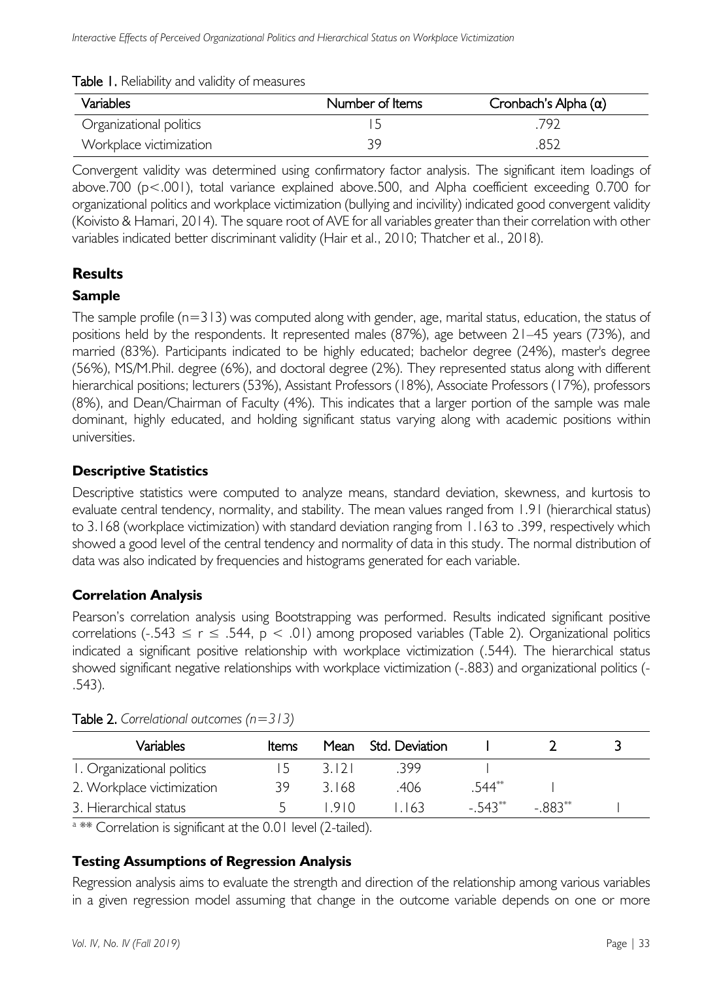| Variables               | Number of Items | Cronbach's Alpha $(\alpha)$ |  |  |
|-------------------------|-----------------|-----------------------------|--|--|
| Organizational politics |                 | 797                         |  |  |
| Workplace victimization | 39              | 852                         |  |  |

Table 1. Reliability and validity of measures

Convergent validity was determined using confirmatory factor analysis. The significant item loadings of above.700 ( $p$ <.001), total variance explained above.500, and Alpha coefficient exceeding 0.700 for organizational politics and workplace victimization (bullying and incivility) indicated good convergent validity (Koivisto & Hamari, 2014). The square root of AVE for all variables greater than their correlation with other variables indicated better discriminant validity (Hair et al., 2010; Thatcher et al., 2018).

## **Results**

### **Sample**

The sample profile  $(n=313)$  was computed along with gender, age, marital status, education, the status of positions held by the respondents. It represented males (87%), age between 21–45 years (73%), and married (83%). Participants indicated to be highly educated; bachelor degree (24%), master's degree (56%), MS/M.Phil. degree (6%), and doctoral degree (2%). They represented status along with different hierarchical positions; lecturers (53%), Assistant Professors (18%), Associate Professors (17%), professors (8%), and Dean/Chairman of Faculty (4%). This indicates that a larger portion of the sample was male dominant, highly educated, and holding significant status varying along with academic positions within universities.

### **Descriptive Statistics**

Descriptive statistics were computed to analyze means, standard deviation, skewness, and kurtosis to evaluate central tendency, normality, and stability. The mean values ranged from 1.91 (hierarchical status) to 3.168 (workplace victimization) with standard deviation ranging from 1.163 to .399, respectively which showed a good level of the central tendency and normality of data in this study. The normal distribution of data was also indicated by frequencies and histograms generated for each variable.

## **Correlation Analysis**

Pearson's correlation analysis using Bootstrapping was performed. Results indicated significant positive correlations (-.543  $\leq$  r  $\leq$  .544, p  $\lt$  .01) among proposed variables (Table 2). Organizational politics indicated a significant positive relationship with workplace victimization (.544). The hierarchical status showed significant negative relationships with workplace victimization (-.883) and organizational politics (- .543).

| Variables                  | <b>Items</b> | Mean  | - Std. Deviation |         |          |  |
|----------------------------|--------------|-------|------------------|---------|----------|--|
| 1. Organizational politics | ר ו          | 3121  | -399             |         |          |  |
| 2. Workplace victimization | 39.          | 3168  | .406             | 544**   |          |  |
| 3. Hierarchical status     |              | 1910. | 163              | - 543** | $-883**$ |  |

Table 2. *Correlational outcomes (n=313)*

a \*\* Correlation is significant at the 0.01 level (2-tailed).

### **Testing Assumptions of Regression Analysis**

Regression analysis aims to evaluate the strength and direction of the relationship among various variables in a given regression model assuming that change in the outcome variable depends on one or more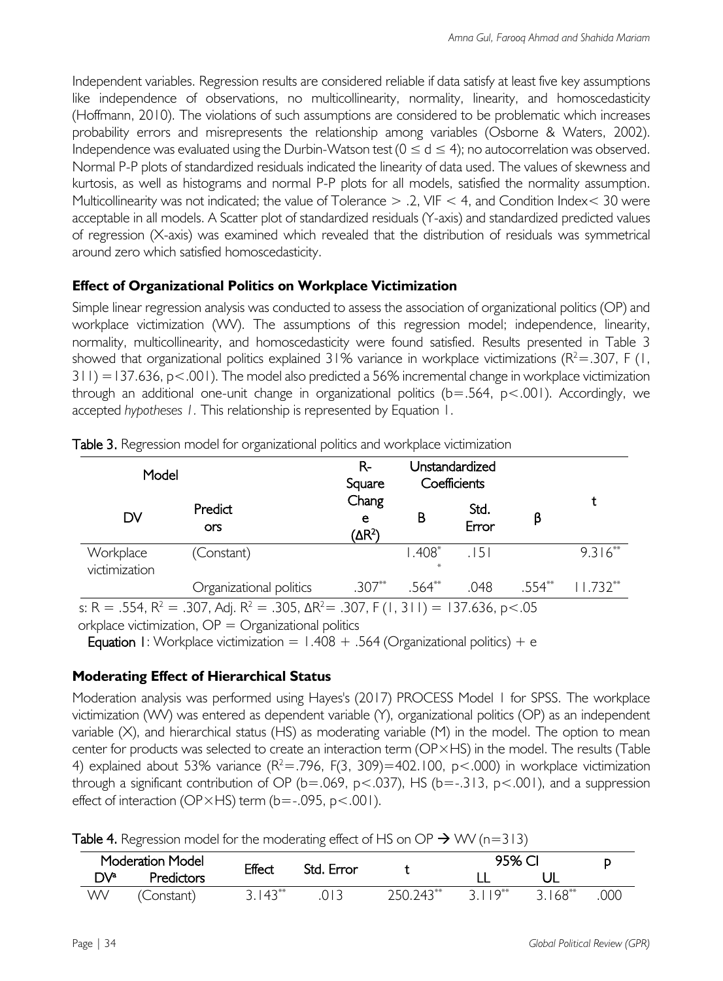Independent variables. Regression results are considered reliable if data satisfy at least five key assumptions like independence of observations, no multicollinearity, normality, linearity, and homoscedasticity (Hoffmann, 2010). The violations of such assumptions are considered to be problematic which increases probability errors and misrepresents the relationship among variables (Osborne & Waters, 2002). Independence was evaluated using the Durbin-Watson test  $(0 \le d \le 4)$ ; no autocorrelation was observed. Normal P-P plots of standardized residuals indicated the linearity of data used. The values of skewness and kurtosis, as well as histograms and normal P-P plots for all models, satisfied the normality assumption. Multicollinearity was not indicated; the value of Tolerance > .2, VIF < 4, and Condition Index< 30 were acceptable in all models. A Scatter plot of standardized residuals (Y-axis) and standardized predicted values of regression (X-axis) was examined which revealed that the distribution of residuals was symmetrical around zero which satisfied homoscedasticity.

### **Effect of Organizational Politics on Workplace Victimization**

Simple linear regression analysis was conducted to assess the association of organizational politics (OP) and workplace victimization (WV). The assumptions of this regression model; independence, linearity, normality, multicollinearity, and homoscedasticity were found satisfied. Results presented in Table 3 showed that organizational politics explained 31% variance in workplace victimizations ( $R^2$  = .307, F (1,  $311$ ) = 137.636, p < .001). The model also predicted a 56% incremental change in workplace victimization through an additional one-unit change in organizational politics  $(b=.564, p<.001)$ . Accordingly, we accepted *hypotheses 1.* This relationship is represented by Equation 1.

| Model                      |                                                                                                                                  | $R-$<br>Square                   |          | Unstandardized<br>Coefficients |        |            |
|----------------------------|----------------------------------------------------------------------------------------------------------------------------------|----------------------------------|----------|--------------------------------|--------|------------|
| DV                         | Predict<br>ors                                                                                                                   | Chang<br>e<br>(∆R <sup>2</sup> ) | В        | Std.<br>Error                  | β      |            |
| Workplace<br>victimization | (Constant)                                                                                                                       |                                  | $1.408*$ | 15 I                           |        | $9.316***$ |
|                            | Organizational politics                                                                                                          | $.307**$                         | $.564**$ | .048                           | .554** | $11.732**$ |
|                            | $\sim$ D $-$ FE4 D <sup>2</sup> $-$ 207 A.J. D <sup>2</sup> $-$ 20E AD <sup>2</sup> $-$ 207 F/L 2LIN $-$ 127/2/ $\sim$ $\sim$ 0E |                                  |          |                                |        |            |

Table 3. Regression model for organizational politics and workplace victimization

s: R = .554, R<sup>2</sup> = .307, Adj. R<sup>2</sup> = .305, ΔR<sup>2</sup> = .307, F (1, 311) = 137.636, p<.05

orkplace victimization,  $OP = Organization$  politics

**Equation 1:** Workplace victimization =  $1.408 + .564$  (Organizational politics) + e

### **Moderating Effect of Hierarchical Status**

Moderation analysis was performed using Hayes's (2017) PROCESS Model 1 for SPSS. The workplace victimization (WV) was entered as dependent variable (Y), organizational politics (OP) as an independent variable (X), and hierarchical status (HS) as moderating variable (M) in the model. The option to mean center for products was selected to create an interaction term (OP×HS) in the model. The results (Table 4) explained about 53% variance  $(R^2 = .796, F(3, 309) = 402.100, p < .000)$  in workplace victimization through a significant contribution of OP ( $b = .069$ ,  $p < .037$ ), HS ( $b = .313$ ,  $p < .001$ ), and a suppression effect of interaction (OP×HS) term (b=-.095, p<.001).

|  | Table 4. Regression model for the moderating effect of HS on OP $\rightarrow$ WV (n=313) |  |  |  |
|--|------------------------------------------------------------------------------------------|--|--|--|
|  |                                                                                          |  |  |  |

|      | Moderation Model |           | Effect<br>Std. Error |           | 95% CI             |           |     |
|------|------------------|-----------|----------------------|-----------|--------------------|-----------|-----|
| ∩∖/a | Predictors       |           |                      |           |                    |           |     |
| WV   | Constant)        | $3.143**$ | 013                  | 75N 743** | $2$ $1$ $1$ $Q***$ | $3.168**$ | 000 |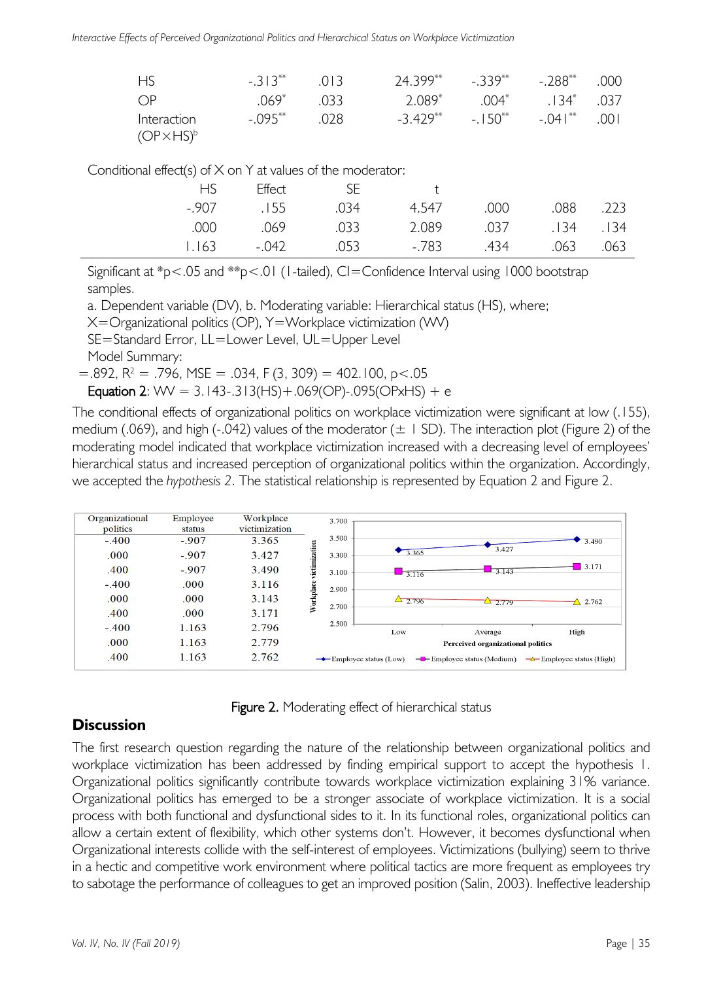*Interactive Effects of Perceived Organizational Politics and Hierarchical Status on Workplace Victimization*

| <b>HS</b>           | $-313**$   | 013    | $24.399***$ $-0.339***$ $-0.288***$ 000 |          |                       |  |
|---------------------|------------|--------|-----------------------------------------|----------|-----------------------|--|
| $\bigcap P$         | 069*       | 033    | 2.089*                                  |          | $.004^*$ . 134* . 037 |  |
| Interaction         | $-.095***$ | . .028 | $-3.429**$                              | $-150**$ | $-.041***$ .001       |  |
| $(OP\times HS)^{b}$ |            |        |                                         |          |                       |  |

Conditional effect(s) of X on Y at values of the moderator:

| HS.   | Effect | -SF  | $+$   |      |                |      |
|-------|--------|------|-------|------|----------------|------|
| -.907 | .155   | 034  | 4.547 | .000 | .088           | .223 |
| .000  | .069   | .033 | 2.089 |      | .037 .134 .134 |      |
| 1.163 | -.042  | .053 | -.783 | .434 | .063           | .063 |

Significant at \*p<.05 and \*\*p<.01 (1-tailed), CI=Confidence Interval using 1000 bootstrap samples.

a. Dependent variable (DV), b. Moderating variable: Hierarchical status (HS), where;

X=Organizational politics (OP), Y=Workplace victimization (WV)

SE=Standard Error, LL=Lower Level, UL=Upper Level

Model Summary:

 $=$  892, R<sup>2</sup> = .796, MSE = .034, F (3, 309) = 402.100, p < .05

Equation 2:  $WW = 3.143 - .313(HS) + .069(OP) - .095(OPxHS) + e$ 

The conditional effects of organizational politics on workplace victimization were significant at low (.155), medium (.069), and high (-.042) values of the moderator  $(\pm 1 \text{ SD})$ . The interaction plot (Figure 2) of the moderating model indicated that workplace victimization increased with a decreasing level of employees' hierarchical status and increased perception of organizational politics within the organization. Accordingly, we accepted the *hypothesis 2*. The statistical relationship is represented by Equation 2 and Figure 2.

| Organizational | Employee | Workplace     | 3.700                            |                                     |                                          |                                      |
|----------------|----------|---------------|----------------------------------|-------------------------------------|------------------------------------------|--------------------------------------|
| politics       | status   | victimization |                                  |                                     |                                          |                                      |
| $-.400$        | $-.907$  | 3.365         | 3.500                            |                                     |                                          | 3.490                                |
| .000           | $-.907$  | 3.427         | 3.300                            | 3.365                               | 3.427                                    |                                      |
| .400           | $-.907$  | 3.490         | Workplace victimization<br>3.100 | $-3.116$                            | 3.143                                    | 3.171                                |
| $-.400$        | .000     | 3.116         | 2.900                            |                                     |                                          |                                      |
| .000           | .000     | 3.143         | 2.700                            | $\Delta$ 2.796                      | $\frac{1}{2.779}$                        | $\Delta$ 2.762                       |
| .400           | .000.    | 3.171         |                                  |                                     |                                          |                                      |
| $-.400$        | 1.163    | 2.796         | 2.500                            | Low                                 | Average                                  | High                                 |
| .000           | 1.163    | 2.779         |                                  |                                     | Perceived organizational politics        |                                      |
| .400           | 1.163    | 2.762         |                                  | $\rightarrow$ Employee status (Low) | $-\blacksquare$ Employee status (Medium) | $\rightarrow$ Employee status (High) |



### **Discussion**

The first research question regarding the nature of the relationship between organizational politics and workplace victimization has been addressed by finding empirical support to accept the hypothesis 1. Organizational politics significantly contribute towards workplace victimization explaining 31% variance. Organizational politics has emerged to be a stronger associate of workplace victimization. It is a social process with both functional and dysfunctional sides to it. In its functional roles, organizational politics can allow a certain extent of flexibility, which other systems don't. However, it becomes dysfunctional when Organizational interests collide with the self-interest of employees. Victimizations (bullying) seem to thrive in a hectic and competitive work environment where political tactics are more frequent as employees try to sabotage the performance of colleagues to get an improved position (Salin, 2003). Ineffective leadership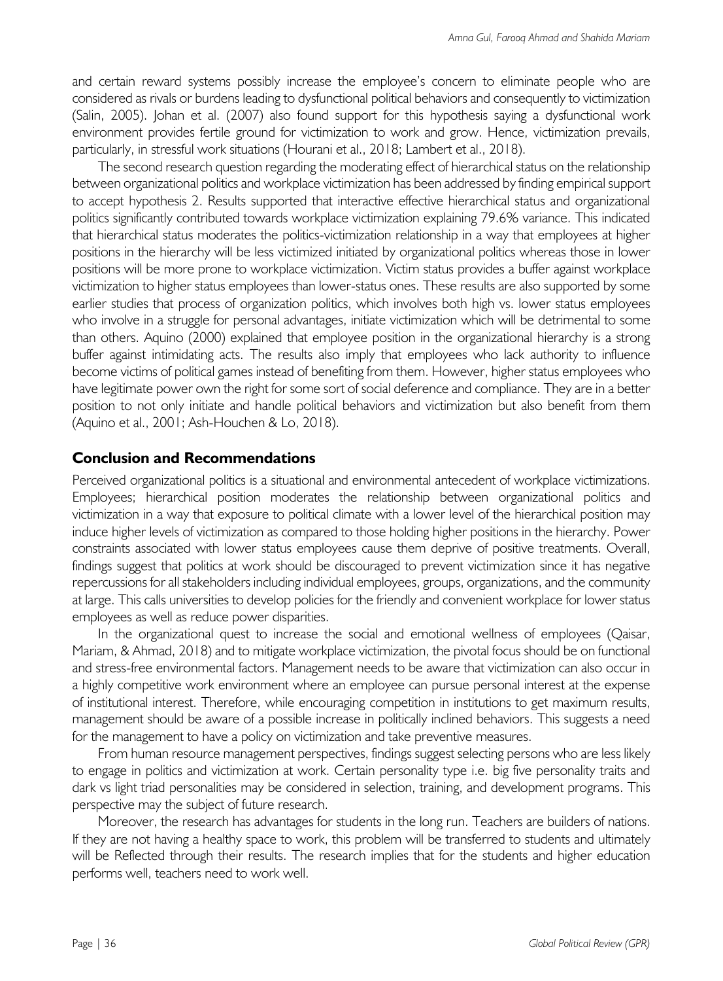and certain reward systems possibly increase the employee's concern to eliminate people who are considered as rivals or burdens leading to dysfunctional political behaviors and consequently to victimization (Salin, 2005). Johan et al. (2007) also found support for this hypothesis saying a dysfunctional work environment provides fertile ground for victimization to work and grow. Hence, victimization prevails, particularly, in stressful work situations (Hourani et al., 2018; Lambert et al., 2018).

The second research question regarding the moderating effect of hierarchical status on the relationship between organizational politics and workplace victimization has been addressed by finding empirical support to accept hypothesis 2. Results supported that interactive effective hierarchical status and organizational politics significantly contributed towards workplace victimization explaining 79.6% variance. This indicated that hierarchical status moderates the politics-victimization relationship in a way that employees at higher positions in the hierarchy will be less victimized initiated by organizational politics whereas those in lower positions will be more prone to workplace victimization. Victim status provides a buffer against workplace victimization to higher status employees than lower-status ones. These results are also supported by some earlier studies that process of organization politics, which involves both high vs. lower status employees who involve in a struggle for personal advantages, initiate victimization which will be detrimental to some than others. Aquino (2000) explained that employee position in the organizational hierarchy is a strong buffer against intimidating acts. The results also imply that employees who lack authority to influence become victims of political games instead of benefiting from them. However, higher status employees who have legitimate power own the right for some sort of social deference and compliance. They are in a better position to not only initiate and handle political behaviors and victimization but also benefit from them (Aquino et al., 2001; Ash-Houchen & Lo, 2018).

#### **Conclusion and Recommendations**

Perceived organizational politics is a situational and environmental antecedent of workplace victimizations. Employees; hierarchical position moderates the relationship between organizational politics and victimization in a way that exposure to political climate with a lower level of the hierarchical position may induce higher levels of victimization as compared to those holding higher positions in the hierarchy. Power constraints associated with lower status employees cause them deprive of positive treatments. Overall, findings suggest that politics at work should be discouraged to prevent victimization since it has negative repercussions for all stakeholders including individual employees, groups, organizations, and the community at large. This calls universities to develop policies for the friendly and convenient workplace for lower status employees as well as reduce power disparities.

In the organizational quest to increase the social and emotional wellness of employees (Qaisar, Mariam, & Ahmad, 2018) and to mitigate workplace victimization, the pivotal focus should be on functional and stress-free environmental factors. Management needs to be aware that victimization can also occur in a highly competitive work environment where an employee can pursue personal interest at the expense of institutional interest. Therefore, while encouraging competition in institutions to get maximum results, management should be aware of a possible increase in politically inclined behaviors. This suggests a need for the management to have a policy on victimization and take preventive measures.

From human resource management perspectives, findings suggest selecting persons who are less likely to engage in politics and victimization at work. Certain personality type i.e. big five personality traits and dark vs light triad personalities may be considered in selection, training, and development programs. This perspective may the subject of future research.

Moreover, the research has advantages for students in the long run. Teachers are builders of nations. If they are not having a healthy space to work, this problem will be transferred to students and ultimately will be Reflected through their results. The research implies that for the students and higher education performs well, teachers need to work well.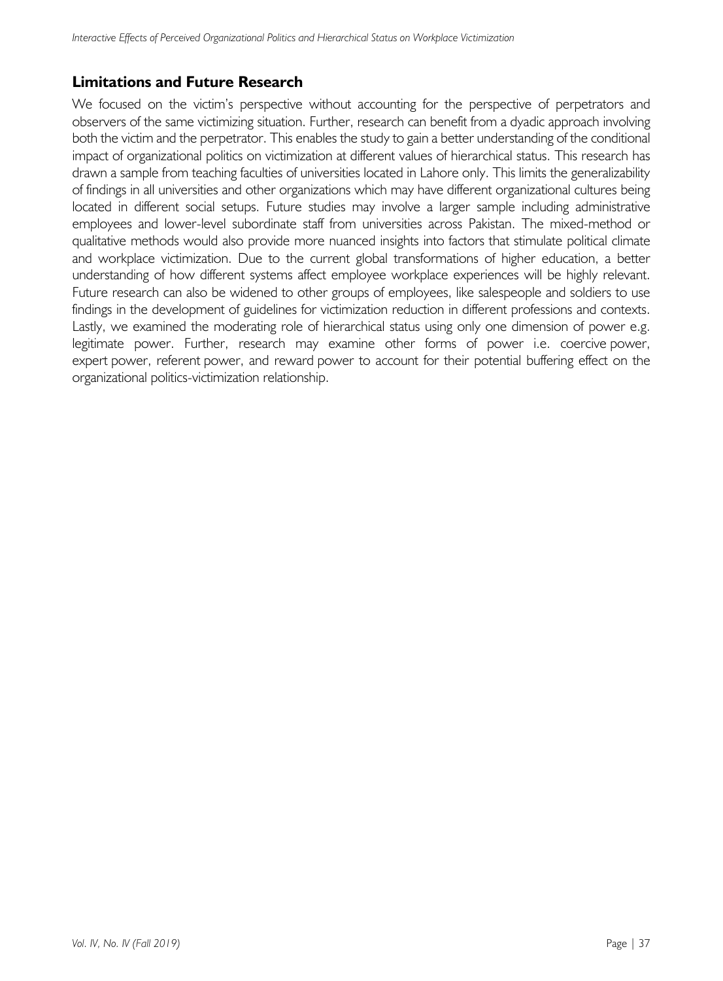### **Limitations and Future Research**

We focused on the victim's perspective without accounting for the perspective of perpetrators and observers of the same victimizing situation. Further, research can benefit from a dyadic approach involving both the victim and the perpetrator. This enables the study to gain a better understanding of the conditional impact of organizational politics on victimization at different values of hierarchical status. This research has drawn a sample from teaching faculties of universities located in Lahore only. This limits the generalizability of findings in all universities and other organizations which may have different organizational cultures being located in different social setups. Future studies may involve a larger sample including administrative employees and lower-level subordinate staff from universities across Pakistan. The mixed-method or qualitative methods would also provide more nuanced insights into factors that stimulate political climate and workplace victimization. Due to the current global transformations of higher education, a better understanding of how different systems affect employee workplace experiences will be highly relevant. Future research can also be widened to other groups of employees, like salespeople and soldiers to use findings in the development of guidelines for victimization reduction in different professions and contexts. Lastly, we examined the moderating role of hierarchical status using only one dimension of power e.g. legitimate power. Further, research may examine other forms of power i.e. coercive power, expert power, referent power, and reward power to account for their potential buffering effect on the organizational politics-victimization relationship.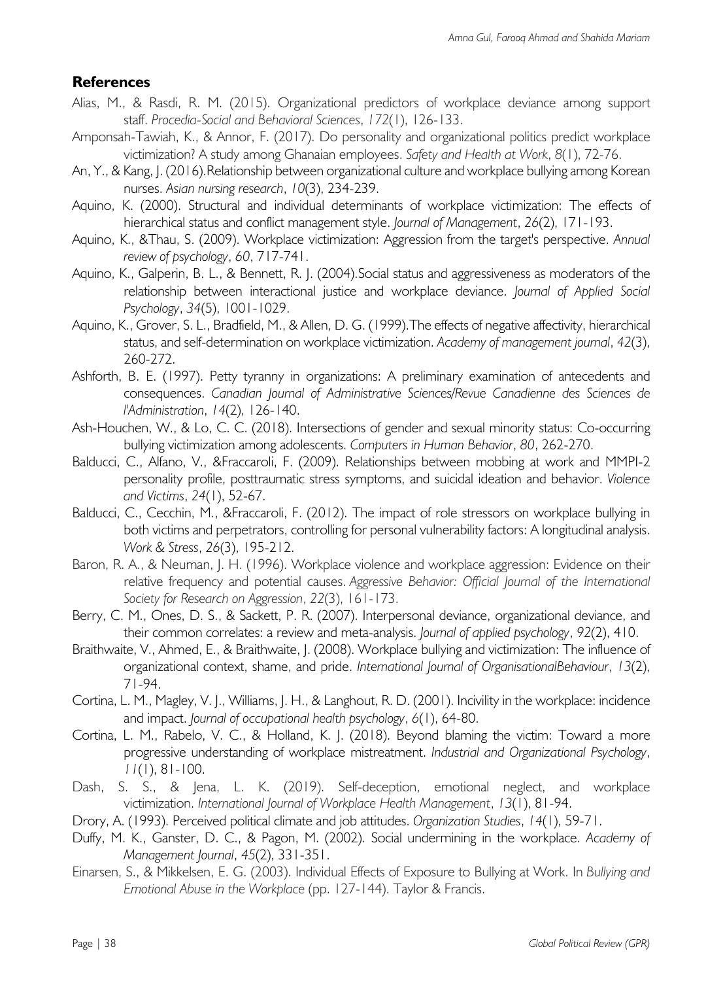### **References**

- Alias, M., & Rasdi, R. M. (2015). Organizational predictors of workplace deviance among support staff. *Procedia-Social and Behavioral Sciences*, *172*(1), 126-133.
- Amponsah-Tawiah, K., & Annor, F. (2017). Do personality and organizational politics predict workplace victimization? A study among Ghanaian employees. *Safety and Health at Work*, *8*(1), 72-76.
- An, Y., & Kang, J. (2016).Relationship between organizational culture and workplace bullying among Korean nurses. *Asian nursing research*, *10*(3), 234-239.
- Aquino, K. (2000). Structural and individual determinants of workplace victimization: The effects of hierarchical status and conflict management style. *Journal of Management*, *26*(2), 171-193.
- Aquino, K., &Thau, S. (2009). Workplace victimization: Aggression from the target's perspective. *Annual review of psychology*, *60*, 717-741.
- Aquino, K., Galperin, B. L., & Bennett, R. J. (2004).Social status and aggressiveness as moderators of the relationship between interactional justice and workplace deviance. *Journal of Applied Social Psychology*, *34*(5), 1001-1029.
- Aquino, K., Grover, S. L., Bradfield, M., & Allen, D. G. (1999).The effects of negative affectivity, hierarchical status, and self-determination on workplace victimization. *Academy of management journal*, *42*(3), 260-272.
- Ashforth, B. E. (1997). Petty tyranny in organizations: A preliminary examination of antecedents and consequences. *Canadian Journal of Administrative Sciences/Revue Canadienne des Sciences de l'Administration*, *14*(2), 126-140.
- Ash-Houchen, W., & Lo, C. C. (2018). Intersections of gender and sexual minority status: Co-occurring bullying victimization among adolescents. *Computers in Human Behavior*, *80*, 262-270.
- Balducci, C., Alfano, V., &Fraccaroli, F. (2009). Relationships between mobbing at work and MMPI-2 personality profile, posttraumatic stress symptoms, and suicidal ideation and behavior. *Violence and Victims*, *24*(1), 52-67.
- Balducci, C., Cecchin, M., &Fraccaroli, F. (2012). The impact of role stressors on workplace bullying in both victims and perpetrators, controlling for personal vulnerability factors: A longitudinal analysis. *Work & Stress*, *26*(3), 195-212.
- Baron, R. A., & Neuman, J. H. (1996). Workplace violence and workplace aggression: Evidence on their relative frequency and potential causes. *Aggressive Behavior: Official Journal of the International Society for Research on Aggression*, *22*(3), 161-173.
- Berry, C. M., Ones, D. S., & Sackett, P. R. (2007). Interpersonal deviance, organizational deviance, and their common correlates: a review and meta-analysis. *Journal of applied psychology*, *92*(2), 410.
- Braithwaite, V., Ahmed, E., & Braithwaite, J. (2008). Workplace bullying and victimization: The influence of organizational context, shame, and pride. *International Journal of OrganisationalBehaviour*, *13*(2), 71-94.
- Cortina, L. M., Magley, V. J., Williams, J. H., & Langhout, R. D. (2001). Incivility in the workplace: incidence and impact. *Journal of occupational health psychology*, *6*(1), 64-80.
- Cortina, L. M., Rabelo, V. C., & Holland, K. J. (2018). Beyond blaming the victim: Toward a more progressive understanding of workplace mistreatment. *Industrial and Organizational Psychology*, *11*(1), 81-100.
- Dash, S. S., & Jena, L. K. (2019). Self-deception, emotional neglect, and workplace victimization. *International Journal of Workplace Health Management*, *13*(1), 81-94.
- Drory, A. (1993). Perceived political climate and job attitudes. *Organization Studies*, *14*(1), 59-71.
- Duffy, M. K., Ganster, D. C., & Pagon, M. (2002). Social undermining in the workplace. *Academy of Management Journal*, *45*(2), 331-351.
- Einarsen, S., & Mikkelsen, E. G. (2003). Individual Effects of Exposure to Bullying at Work. In *Bullying and Emotional Abuse in the Workplace* (pp. 127-144). Taylor & Francis.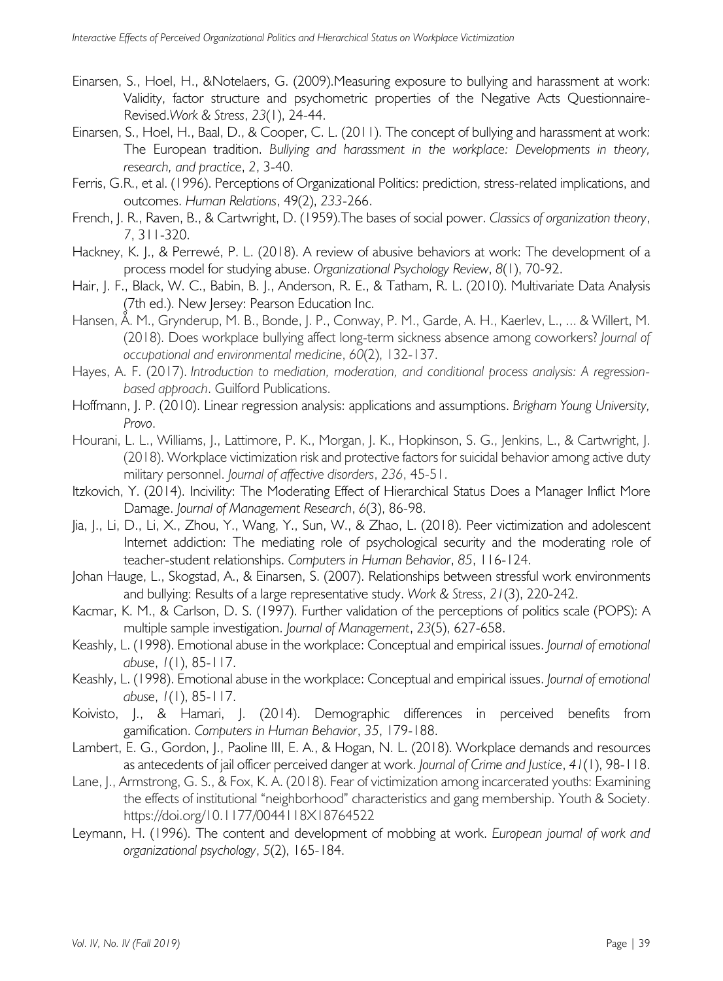- Einarsen, S., Hoel, H., &Notelaers, G. (2009).Measuring exposure to bullying and harassment at work: Validity, factor structure and psychometric properties of the Negative Acts Questionnaire-Revised.*Work & Stress*, *23*(1), 24-44.
- Einarsen, S., Hoel, H., Baal, D., & Cooper, C. L. (2011). The concept of bullying and harassment at work: The European tradition. *Bullying and harassment in the workplace: Developments in theory, research, and practice*, *2*, 3-40.
- Ferris, G.R., et al. (1996). Perceptions of Organizational Politics: prediction, stress-related implications, and outcomes. *Human Relations*, 49(2), *233*-266.
- French, J. R., Raven, B., & Cartwright, D. (1959).The bases of social power. *Classics of organization theory*, *7*, 311-320.
- Hackney, K. J., & Perrewé, P. L. (2018). A review of abusive behaviors at work: The development of a process model for studying abuse. *Organizational Psychology Review*, *8*(1), 70-92.
- Hair, J. F., Black, W. C., Babin, B. J., Anderson, R. E., & Tatham, R. L. (2010). Multivariate Data Analysis (7th ed.). New Jersey: Pearson Education Inc.
- Hansen, Å. M., Grynderup, M. B., Bonde, J. P., Conway, P. M., Garde, A. H., Kaerlev, L., ... & Willert, M. (2018). Does workplace bullying affect long-term sickness absence among coworkers? *Journal of occupational and environmental medicine*, *60*(2), 132-137.
- Hayes, A. F. (2017). *Introduction to mediation, moderation, and conditional process analysis: A regressionbased approach*. Guilford Publications.
- Hoffmann, J. P. (2010). Linear regression analysis: applications and assumptions. *Brigham Young University, Provo*.
- Hourani, L. L., Williams, J., Lattimore, P. K., Morgan, J. K., Hopkinson, S. G., Jenkins, L., & Cartwright, J. (2018). Workplace victimization risk and protective factors for suicidal behavior among active duty military personnel. *Journal of affective disorders*, *236*, 45-51.
- Itzkovich, Y. (2014). Incivility: The Moderating Effect of Hierarchical Status Does a Manager Inflict More Damage. *Journal of Management Research*, *6*(3), 86-98.
- Jia, J., Li, D., Li, X., Zhou, Y., Wang, Y., Sun, W., & Zhao, L. (2018). Peer victimization and adolescent Internet addiction: The mediating role of psychological security and the moderating role of teacher-student relationships. *Computers in Human Behavior*, *85*, 116-124.
- Johan Hauge, L., Skogstad, A., & Einarsen, S. (2007). Relationships between stressful work environments and bullying: Results of a large representative study. *Work & Stress*, *21*(3), 220-242.
- Kacmar, K. M., & Carlson, D. S. (1997). Further validation of the perceptions of politics scale (POPS): A multiple sample investigation. *Journal of Management*, *23*(5), 627-658.
- Keashly, L. (1998). Emotional abuse in the workplace: Conceptual and empirical issues. *Journal of emotional abuse*, *1*(1), 85-117.
- Keashly, L. (1998). Emotional abuse in the workplace: Conceptual and empirical issues. *Journal of emotional abuse*, *1*(1), 85-117.
- Koivisto, J., & Hamari, J. (2014). Demographic differences in perceived benefits from gamification. *Computers in Human Behavior*, *35*, 179-188.
- Lambert, E. G., Gordon, J., Paoline III, E. A., & Hogan, N. L. (2018). Workplace demands and resources as antecedents of jail officer perceived danger at work. *Journal of Crime and Justice*, *41*(1), 98-118.
- Lane, J., Armstrong, G. S., & Fox, K. A. (2018). Fear of victimization among incarcerated youths: Examining the effects of institutional "neighborhood" characteristics and gang membership. Youth & Society. https://doi.org/10.1177/0044118X18764522
- Leymann, H. (1996). The content and development of mobbing at work. *European journal of work and organizational psychology*, *5*(2), 165-184.